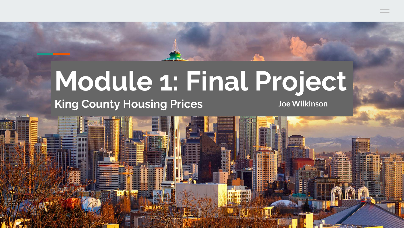# **Module 1: Final Project**

### **King County Housing Prices Joe Wilkinson**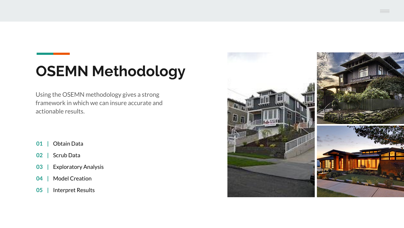# **OSEMN Methodology**

Using the OSEMN methodology gives a strong framework in which we can insure accurate and actionable results.

- **01 |** Obtain Data
- **02 |** Scrub Data
- **03 |** Exploratory Analysis
- **04 |** Model Creation
- **05 |** Interpret Results

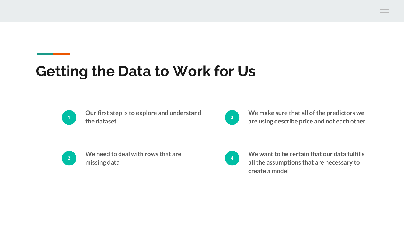## **Getting the Data to Work for Us**



**Our first step is to explore and understand the dataset**



**<sup>3</sup> We make sure that all of the predictors we are using describe price and not each other**



**We need to deal with rows that are missing data**



**We want to be certain that our data fulfills all the assumptions that are necessary to create a model**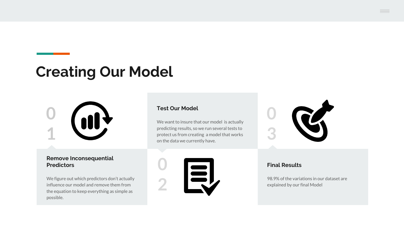### **Creating Our Model**



#### **Remove Inconsequential Predictors**

We figure out which predictors don't actually influence our model and remove them from the equation to keep everything as simple as possible.

#### **Test Our Model**

**0**

**2**

We want to insure that our model is actually predicting results, so we run several tests to protect us from creating a model that works on the data we currently have.

EU



#### **Final Results**

98.9% of the variations in our dataset are explained by our final Model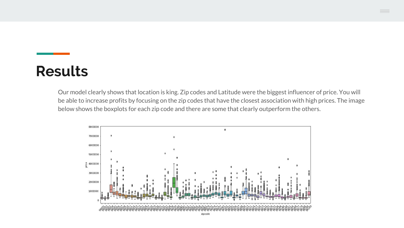### **Results**

Our model clearly shows that location is king. Zip codes and Latitude were the biggest influencer of price. You will be able to increase profits by focusing on the zip codes that have the closest association with high prices. The image below shows the boxplots for each zip code and there are some that clearly outperform the others.